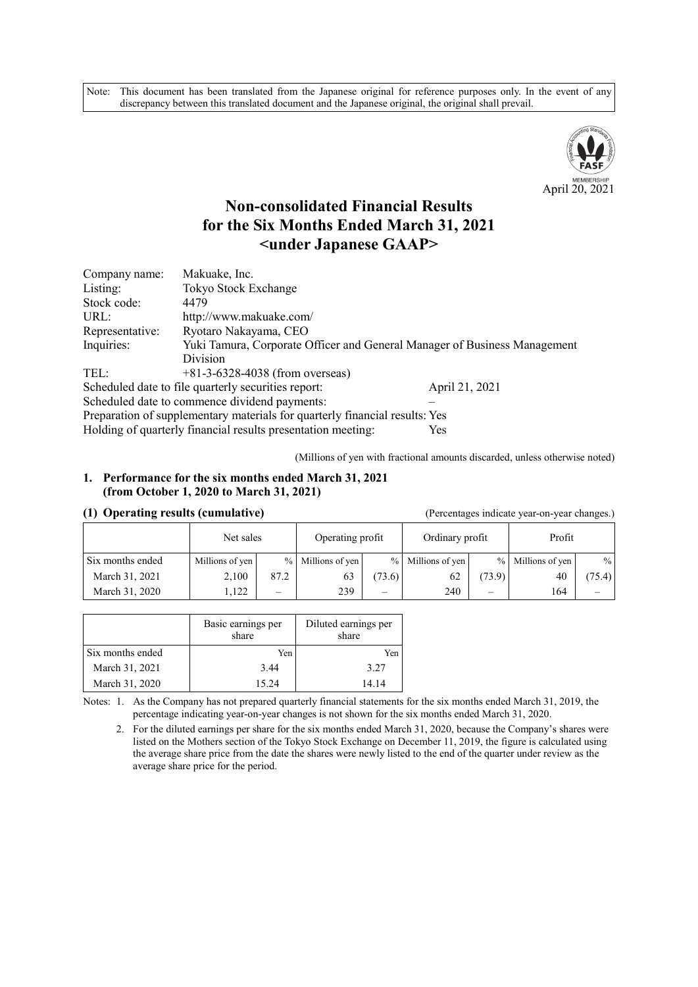Note: This document has been translated from the Japanese original for reference purposes only. In the event of any discrepancy between this translated document and the Japanese original, the original shall prevail.



# **Non-consolidated Financial Results for the Six Months Ended March 31, 2021 <under Japanese GAAP>**

| Company name:   | Makuake, Inc.                                                               |                |
|-----------------|-----------------------------------------------------------------------------|----------------|
| Listing:        | Tokyo Stock Exchange                                                        |                |
| Stock code:     | 4479                                                                        |                |
| URL:            | http://www.makuake.com/                                                     |                |
| Representative: | Ryotaro Nakayama, CEO                                                       |                |
| Inquiries:      | Yuki Tamura, Corporate Officer and General Manager of Business Management   |                |
|                 | Division                                                                    |                |
| TEL:            | $+81-3-6328-4038$ (from overseas)                                           |                |
|                 | Scheduled date to file quarterly securities report:                         | April 21, 2021 |
|                 | Scheduled date to commence dividend payments:                               |                |
|                 | Preparation of supplementary materials for quarterly financial results: Yes |                |
|                 | Holding of quarterly financial results presentation meeting:                | Yes            |

(Millions of yen with fractional amounts discarded, unless otherwise noted)

#### **1. Performance for the six months ended March 31, 2021 (from October 1, 2020 to March 31, 2021)**

#### **(1) Operating results (cumulative)** (Percentages indicate year-on-year changes.)

| $\sim$<br>$\cdot$ |                 |      |                   |                          |                   |               |                 |        |
|-------------------|-----------------|------|-------------------|--------------------------|-------------------|---------------|-----------------|--------|
|                   | Net sales       |      | Operating profit  |                          | Ordinary profit   |               | Profit          |        |
| Six months ended  | Millions of yen |      | % Millions of yen |                          | % Millions of yen | $\frac{0}{0}$ | Millions of yen | $\%$   |
| March 31, 2021    | 2,100           | 87.2 | 63                | (73.6)                   | 62                | (73.9)        | 40              | (75.4) |
| March 31, 2020    | .122            | –    | 239               | $\overline{\phantom{0}}$ | 240               | --            | 164             |        |

|                  | Basic earnings per<br>share | Diluted earnings per<br>share |
|------------------|-----------------------------|-------------------------------|
| Six months ended | Yen                         | Yen                           |
| March 31, 2021   | 3.44                        | 3.27                          |
| March 31, 2020   | 15.24                       | 14.14                         |

Notes: 1. As the Company has not prepared quarterly financial statements for the six months ended March 31, 2019, the percentage indicating year-on-year changes is not shown for the six months ended March 31, 2020.

2. For the diluted earnings per share for the six months ended March 31, 2020, because the Company's shares were listed on the Mothers section of the Tokyo Stock Exchange on December 11, 2019, the figure is calculated using the average share price from the date the shares were newly listed to the end of the quarter under review as the average share price for the period.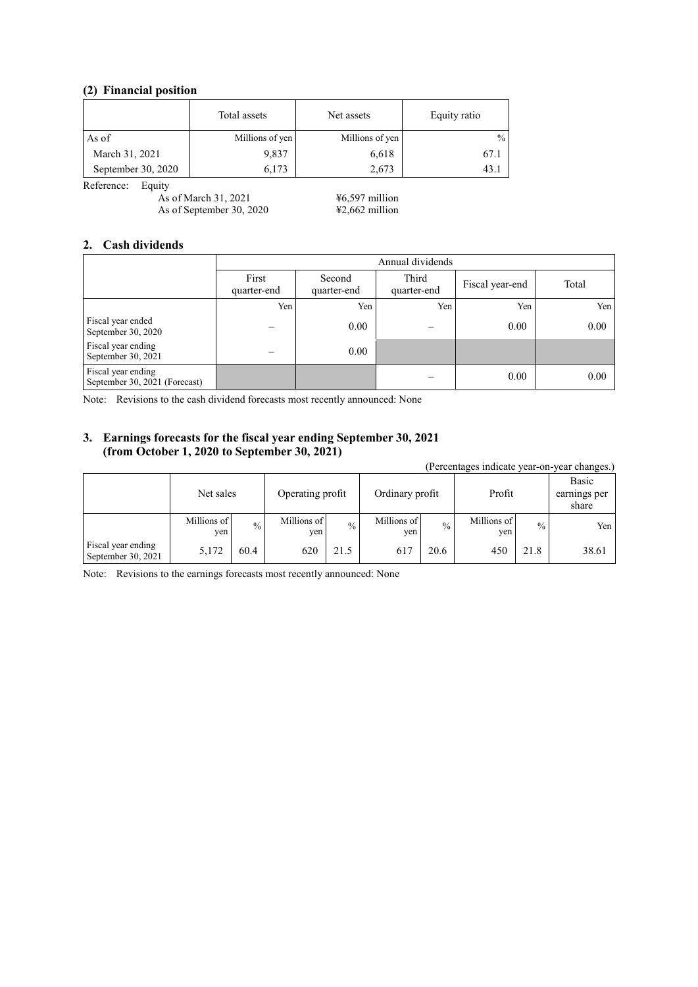#### **(2) Financial position**

|                    | Total assets    | Net assets      | Equity ratio |
|--------------------|-----------------|-----------------|--------------|
| As of              | Millions of yen | Millions of yen | $\%$         |
| March 31, 2021     | 9,837           | 6,618           | 67.1         |
| September 30, 2020 | 6.173           | 2,673           | 43.          |

Reference: Equity

As of March 31, 2021 ¥6,597 million As of September 30, 2020  $\text{\#2,662}$  million

#### **2. Cash dividends**

|                                                     | Annual dividends     |                       |                      |                 |       |
|-----------------------------------------------------|----------------------|-----------------------|----------------------|-----------------|-------|
|                                                     | First<br>quarter-end | Second<br>quarter-end | Third<br>quarter-end | Fiscal year-end | Total |
|                                                     | Yen                  | Yen                   | Yen                  | Yen             | Yen   |
| Fiscal year ended<br>September 30, 2020             |                      | 0.00                  |                      | 0.00            | 0.00  |
| Fiscal year ending<br>September 30, 2021            |                      | 0.00                  |                      |                 |       |
| Fiscal year ending<br>September 30, 2021 (Forecast) |                      |                       |                      | 0.00            | 0.00  |

Note: Revisions to the cash dividend forecasts most recently announced: None

#### **3. Earnings forecasts for the fiscal year ending September 30, 2021 (from October 1, 2020 to September 30, 2021)**

(Percentages indicate year-on-year changes.) Net sales Operating profit | Ordinary profit | Profit Basic earnings per share Millions of yen  $\frac{9}{6}$  Millions of yen  $\frac{1}{\sqrt{2}}$  Millions of yen  $\sim$  Millions of yen % Yen Fiscal year ending Fiscal year ending<br>September 30, 2021 5,172 60.4 620 21.5 617 20.6 450 21.8 38.61

Note: Revisions to the earnings forecasts most recently announced: None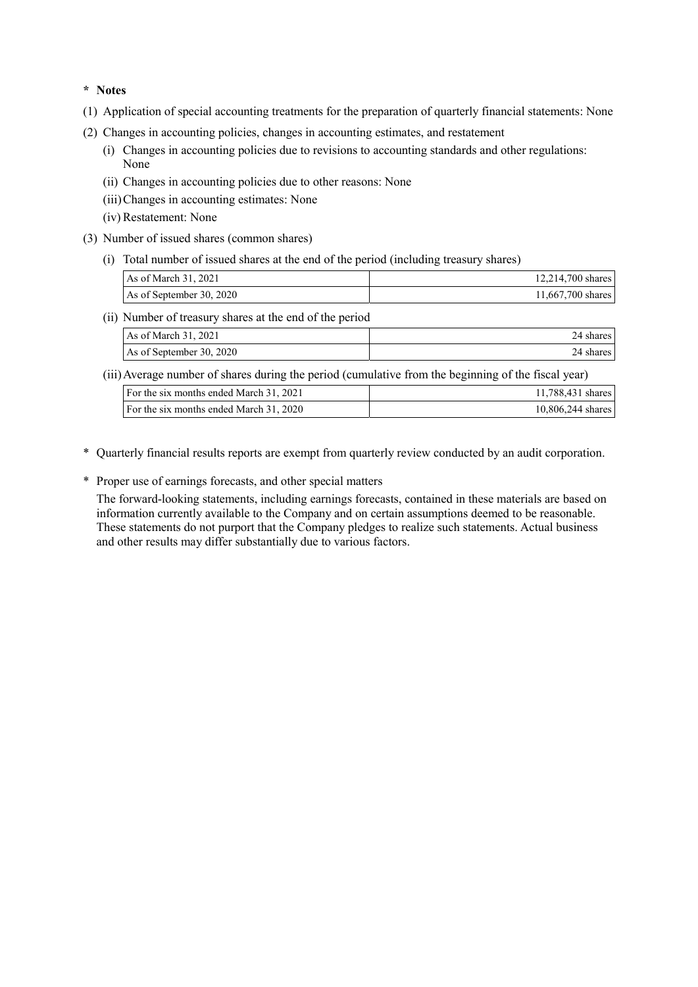**\* Notes** 

- (1) Application of special accounting treatments for the preparation of quarterly financial statements: None
- (2) Changes in accounting policies, changes in accounting estimates, and restatement
	- (i) Changes in accounting policies due to revisions to accounting standards and other regulations: None
	- (ii) Changes in accounting policies due to other reasons: None
	- (iii) Changes in accounting estimates: None
	- (iv) Restatement: None
- (3) Number of issued shares (common shares)
	- (i) Total number of issued shares at the end of the period (including treasury shares)

| As of March 31, 2021     | 12,214,700 shares |
|--------------------------|-------------------|
| As of September 30, 2020 | 11,667,700 shares |

(ii) Number of treasury shares at the end of the period

| As of March 31, 2021     | 24 shares l |
|--------------------------|-------------|
| As of September 30, 2020 | 24 shares l |

(iii) Average number of shares during the period (cumulative from the beginning of the fiscal year)

| For the six months ended March 31, 2021 | 11,788,431 shares |
|-----------------------------------------|-------------------|
| For the six months ended March 31, 2020 | 10,806,244 shares |

- \* Quarterly financial results reports are exempt from quarterly review conducted by an audit corporation.
- \* Proper use of earnings forecasts, and other special matters

The forward-looking statements, including earnings forecasts, contained in these materials are based on information currently available to the Company and on certain assumptions deemed to be reasonable. These statements do not purport that the Company pledges to realize such statements. Actual business and other results may differ substantially due to various factors.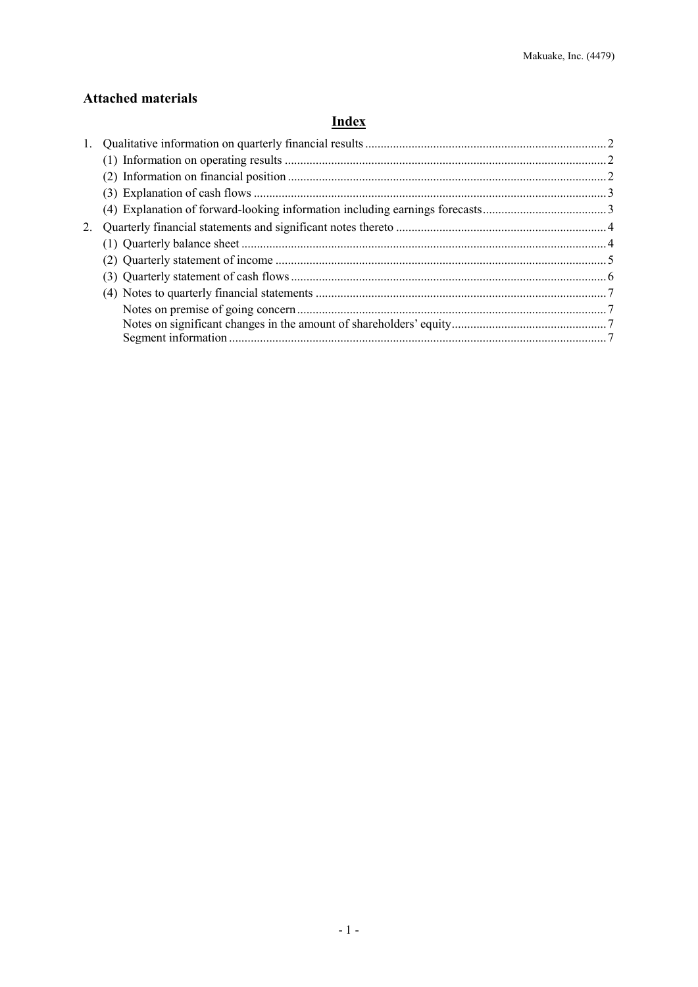## **Attached materials**

# **Index**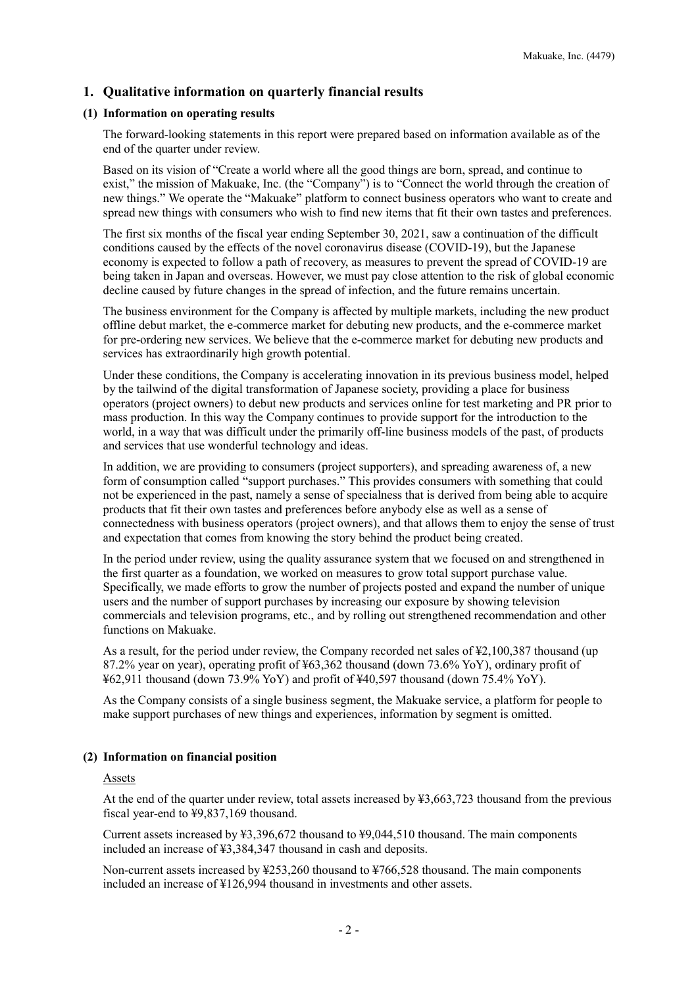### **1. Qualitative information on quarterly financial results**

#### **(1) Information on operating results**

The forward-looking statements in this report were prepared based on information available as of the end of the quarter under review.

Based on its vision of "Create a world where all the good things are born, spread, and continue to exist," the mission of Makuake, Inc. (the "Company") is to "Connect the world through the creation of new things." We operate the "Makuake" platform to connect business operators who want to create and spread new things with consumers who wish to find new items that fit their own tastes and preferences.

The first six months of the fiscal year ending September 30, 2021, saw a continuation of the difficult conditions caused by the effects of the novel coronavirus disease (COVID-19), but the Japanese economy is expected to follow a path of recovery, as measures to prevent the spread of COVID-19 are being taken in Japan and overseas. However, we must pay close attention to the risk of global economic decline caused by future changes in the spread of infection, and the future remains uncertain.

The business environment for the Company is affected by multiple markets, including the new product offline debut market, the e-commerce market for debuting new products, and the e-commerce market for pre-ordering new services. We believe that the e-commerce market for debuting new products and services has extraordinarily high growth potential.

Under these conditions, the Company is accelerating innovation in its previous business model, helped by the tailwind of the digital transformation of Japanese society, providing a place for business operators (project owners) to debut new products and services online for test marketing and PR prior to mass production. In this way the Company continues to provide support for the introduction to the world, in a way that was difficult under the primarily off-line business models of the past, of products and services that use wonderful technology and ideas.

In addition, we are providing to consumers (project supporters), and spreading awareness of, a new form of consumption called "support purchases." This provides consumers with something that could not be experienced in the past, namely a sense of specialness that is derived from being able to acquire products that fit their own tastes and preferences before anybody else as well as a sense of connectedness with business operators (project owners), and that allows them to enjoy the sense of trust and expectation that comes from knowing the story behind the product being created.

In the period under review, using the quality assurance system that we focused on and strengthened in the first quarter as a foundation, we worked on measures to grow total support purchase value. Specifically, we made efforts to grow the number of projects posted and expand the number of unique users and the number of support purchases by increasing our exposure by showing television commercials and television programs, etc., and by rolling out strengthened recommendation and other functions on Makuake.

As a result, for the period under review, the Company recorded net sales of  $\text{\textsterling}2,100,387$  thousand (up 87.2% year on year), operating profit of ¥63,362 thousand (down 73.6% YoY), ordinary profit of ¥62,911 thousand (down 73.9% YoY) and profit of ¥40,597 thousand (down 75.4% YoY).

As the Company consists of a single business segment, the Makuake service, a platform for people to make support purchases of new things and experiences, information by segment is omitted.

#### **(2) Information on financial position**

#### Assets

At the end of the quarter under review, total assets increased by ¥3,663,723 thousand from the previous fiscal year-end to ¥9,837,169 thousand.

Current assets increased by ¥3,396,672 thousand to ¥9,044,510 thousand. The main components included an increase of ¥3,384,347 thousand in cash and deposits.

Non-current assets increased by ¥253,260 thousand to ¥766,528 thousand. The main components included an increase of ¥126,994 thousand in investments and other assets.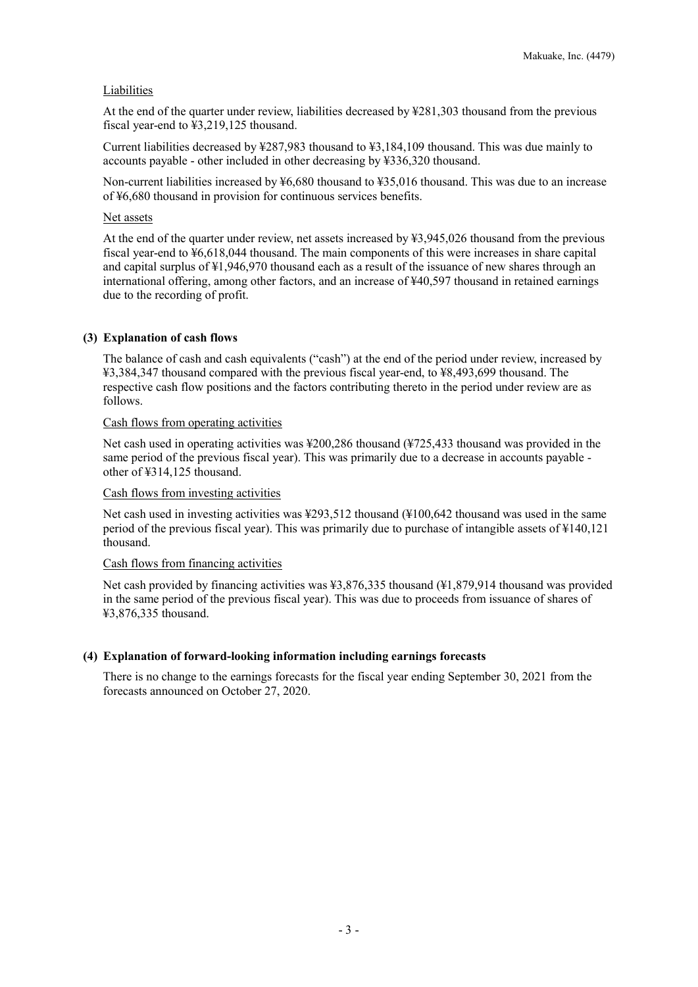#### **Liabilities**

At the end of the quarter under review, liabilities decreased by ¥281,303 thousand from the previous fiscal year-end to ¥3,219,125 thousand.

Current liabilities decreased by ¥287,983 thousand to ¥3,184,109 thousand. This was due mainly to accounts payable - other included in other decreasing by ¥336,320 thousand.

Non-current liabilities increased by ¥6,680 thousand to ¥35,016 thousand. This was due to an increase of ¥6,680 thousand in provision for continuous services benefits.

#### Net assets

At the end of the quarter under review, net assets increased by ¥3,945,026 thousand from the previous fiscal year-end to ¥6,618,044 thousand. The main components of this were increases in share capital and capital surplus of ¥1,946,970 thousand each as a result of the issuance of new shares through an international offering, among other factors, and an increase of ¥40,597 thousand in retained earnings due to the recording of profit.

#### **(3) Explanation of cash flows**

The balance of cash and cash equivalents ("cash") at the end of the period under review, increased by ¥3,384,347 thousand compared with the previous fiscal year-end, to ¥8,493,699 thousand. The respective cash flow positions and the factors contributing thereto in the period under review are as follows.

#### Cash flows from operating activities

Net cash used in operating activities was ¥200,286 thousand (¥725,433 thousand was provided in the same period of the previous fiscal year). This was primarily due to a decrease in accounts payable other of ¥314,125 thousand.

#### Cash flows from investing activities

Net cash used in investing activities was ¥293,512 thousand (¥100,642 thousand was used in the same period of the previous fiscal year). This was primarily due to purchase of intangible assets of ¥140,121 thousand.

#### Cash flows from financing activities

Net cash provided by financing activities was ¥3,876,335 thousand (¥1,879,914 thousand was provided in the same period of the previous fiscal year). This was due to proceeds from issuance of shares of ¥3,876,335 thousand.

#### **(4) Explanation of forward-looking information including earnings forecasts**

There is no change to the earnings forecasts for the fiscal year ending September 30, 2021 from the forecasts announced on October 27, 2020.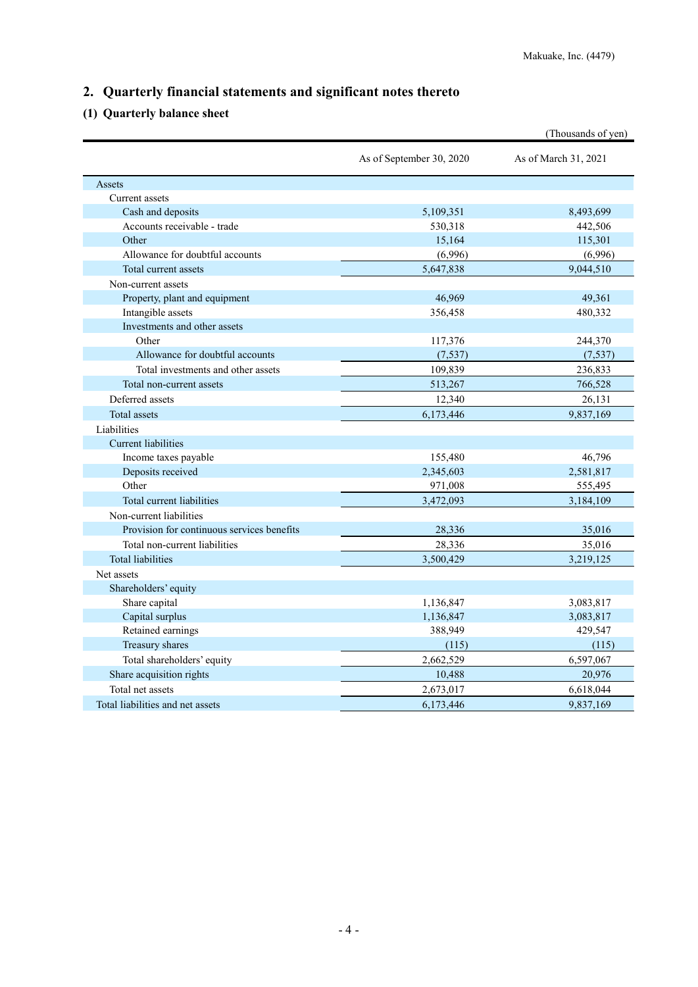# **2. Quarterly financial statements and significant notes thereto**

# **(1) Quarterly balance sheet**

|                                            |                          | (Thousands of yen)   |
|--------------------------------------------|--------------------------|----------------------|
|                                            | As of September 30, 2020 | As of March 31, 2021 |
| Assets                                     |                          |                      |
| Current assets                             |                          |                      |
| Cash and deposits                          | 5,109,351                | 8,493,699            |
| Accounts receivable - trade                | 530,318                  | 442,506              |
| Other                                      | 15,164                   | 115,301              |
| Allowance for doubtful accounts            | (6,996)                  | (6,996)              |
| Total current assets                       | 5,647,838                | 9,044,510            |
| Non-current assets                         |                          |                      |
| Property, plant and equipment              | 46,969                   | 49,361               |
| Intangible assets                          | 356,458                  | 480,332              |
| Investments and other assets               |                          |                      |
| Other                                      | 117,376                  | 244,370              |
| Allowance for doubtful accounts            | (7, 537)                 | (7,537)              |
| Total investments and other assets         | 109,839                  | 236,833              |
| Total non-current assets                   | 513,267                  | 766,528              |
| Deferred assets                            | 12,340                   | 26,131               |
| Total assets                               | 6,173,446                | 9,837,169            |
| Liabilities                                |                          |                      |
| <b>Current liabilities</b>                 |                          |                      |
| Income taxes payable                       | 155,480                  | 46,796               |
| Deposits received                          | 2,345,603                | 2,581,817            |
| Other                                      | 971,008                  | 555,495              |
| Total current liabilities                  | 3,472,093                | 3,184,109            |
| Non-current liabilities                    |                          |                      |
| Provision for continuous services benefits | 28,336                   | 35,016               |
| Total non-current liabilities              | 28,336                   | 35,016               |
| <b>Total liabilities</b>                   | 3,500,429                | 3,219,125            |
| Net assets                                 |                          |                      |
| Shareholders' equity                       |                          |                      |
| Share capital                              | 1,136,847                | 3,083,817            |
| Capital surplus                            | 1,136,847                | 3,083,817            |
| Retained earnings                          | 388,949                  | 429,547              |
| Treasury shares                            | (115)                    | (115)                |
| Total shareholders' equity                 | 2,662,529                | 6,597,067            |
| Share acquisition rights                   | 10,488                   | 20,976               |
| Total net assets                           | 2,673,017                | 6,618,044            |
| Total liabilities and net assets           | 6,173,446                | 9,837,169            |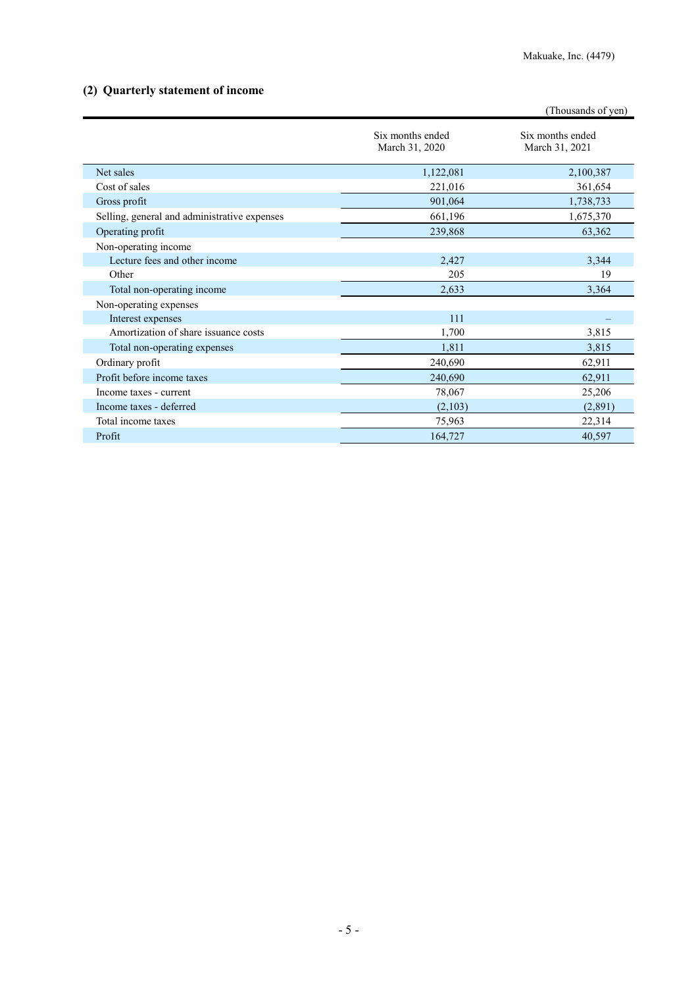## **(2) Quarterly statement of income**

|                                              |                                    | (Thousands of yen)                 |
|----------------------------------------------|------------------------------------|------------------------------------|
|                                              | Six months ended<br>March 31, 2020 | Six months ended<br>March 31, 2021 |
| Net sales                                    | 1,122,081                          | 2,100,387                          |
| Cost of sales                                | 221,016                            | 361,654                            |
| Gross profit                                 | 901,064                            | 1,738,733                          |
| Selling, general and administrative expenses | 661,196                            | 1,675,370                          |
| Operating profit                             | 239,868                            | 63,362                             |
| Non-operating income                         |                                    |                                    |
| Lecture fees and other income                | 2,427                              | 3,344                              |
| Other                                        | 205                                | 19                                 |
| Total non-operating income                   | 2,633                              | 3,364                              |
| Non-operating expenses                       |                                    |                                    |
| Interest expenses                            | 111                                |                                    |
| Amortization of share issuance costs         | 1,700                              | 3,815                              |
| Total non-operating expenses                 | 1,811                              | 3,815                              |
| Ordinary profit                              | 240,690                            | 62,911                             |
| Profit before income taxes                   | 240,690                            | 62,911                             |
| Income taxes - current                       | 78,067                             | 25,206                             |
| Income taxes - deferred                      | (2,103)                            | (2,891)                            |
| Total income taxes                           | 75,963                             | 22,314                             |
| Profit                                       | 164,727                            | 40,597                             |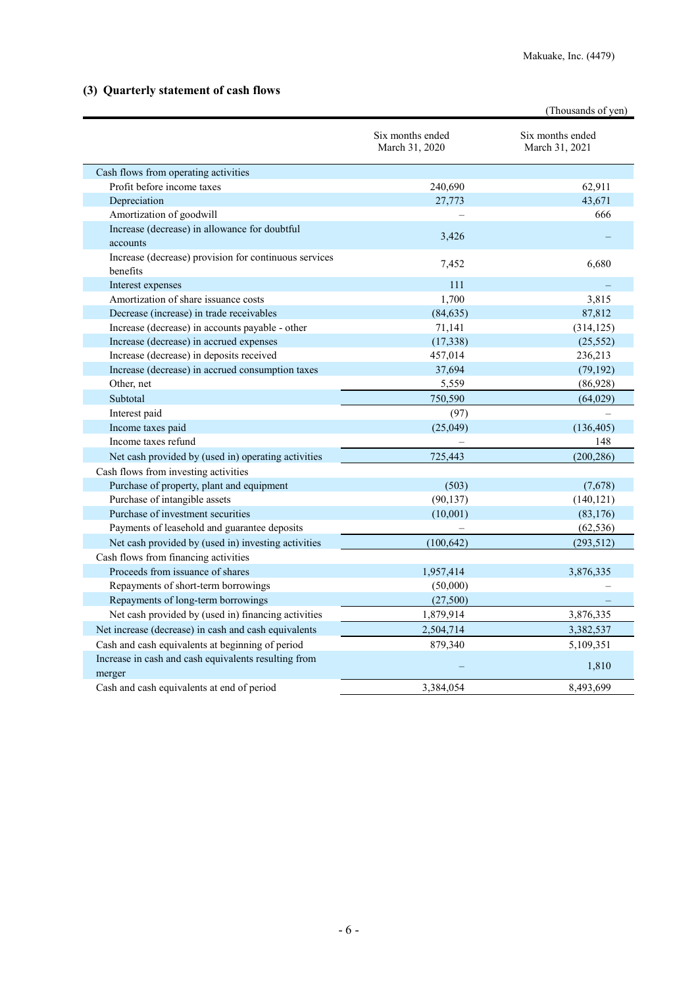## **(3) Quarterly statement of cash flows**

|                                                                   |                                    | (Thousands of yen)                 |
|-------------------------------------------------------------------|------------------------------------|------------------------------------|
|                                                                   | Six months ended<br>March 31, 2020 | Six months ended<br>March 31, 2021 |
| Cash flows from operating activities                              |                                    |                                    |
| Profit before income taxes                                        | 240,690                            | 62,911                             |
| Depreciation                                                      | 27,773                             | 43,671                             |
| Amortization of goodwill                                          |                                    | 666                                |
| Increase (decrease) in allowance for doubtful                     |                                    |                                    |
| accounts                                                          | 3,426                              |                                    |
| Increase (decrease) provision for continuous services<br>benefits | 7,452                              | 6,680                              |
| Interest expenses                                                 | 111                                |                                    |
| Amortization of share issuance costs                              | 1,700                              | 3,815                              |
| Decrease (increase) in trade receivables                          | (84, 635)                          | 87,812                             |
| Increase (decrease) in accounts payable - other                   | 71,141                             | (314, 125)                         |
| Increase (decrease) in accrued expenses                           | (17,338)                           | (25, 552)                          |
| Increase (decrease) in deposits received                          | 457,014                            | 236,213                            |
| Increase (decrease) in accrued consumption taxes                  | 37,694                             | (79, 192)                          |
| Other, net                                                        | 5,559                              | (86,928)                           |
| Subtotal                                                          | 750,590                            | (64, 029)                          |
| Interest paid                                                     | (97)                               |                                    |
| Income taxes paid                                                 | (25,049)                           | (136, 405)                         |
| Income taxes refund                                               |                                    | 148                                |
| Net cash provided by (used in) operating activities               | 725,443                            | (200, 286)                         |
| Cash flows from investing activities                              |                                    |                                    |
| Purchase of property, plant and equipment                         | (503)                              | (7,678)                            |
| Purchase of intangible assets                                     | (90, 137)                          | (140, 121)                         |
| Purchase of investment securities                                 | (10,001)                           | (83, 176)                          |
| Payments of leasehold and guarantee deposits                      |                                    | (62, 536)                          |
| Net cash provided by (used in) investing activities               | (100, 642)                         | (293, 512)                         |
| Cash flows from financing activities                              |                                    |                                    |
| Proceeds from issuance of shares                                  | 1,957,414                          | 3,876,335                          |
| Repayments of short-term borrowings                               | (50,000)                           |                                    |
| Repayments of long-term borrowings                                | (27,500)                           |                                    |
| Net cash provided by (used in) financing activities               | 1,879,914                          | 3,876,335                          |
| Net increase (decrease) in cash and cash equivalents              | 2,504,714                          | 3,382,537                          |
| Cash and cash equivalents at beginning of period                  | 879,340                            | 5,109,351                          |
| Increase in cash and cash equivalents resulting from<br>merger    |                                    | 1,810                              |
| Cash and cash equivalents at end of period                        | 3,384,054                          | 8,493,699                          |